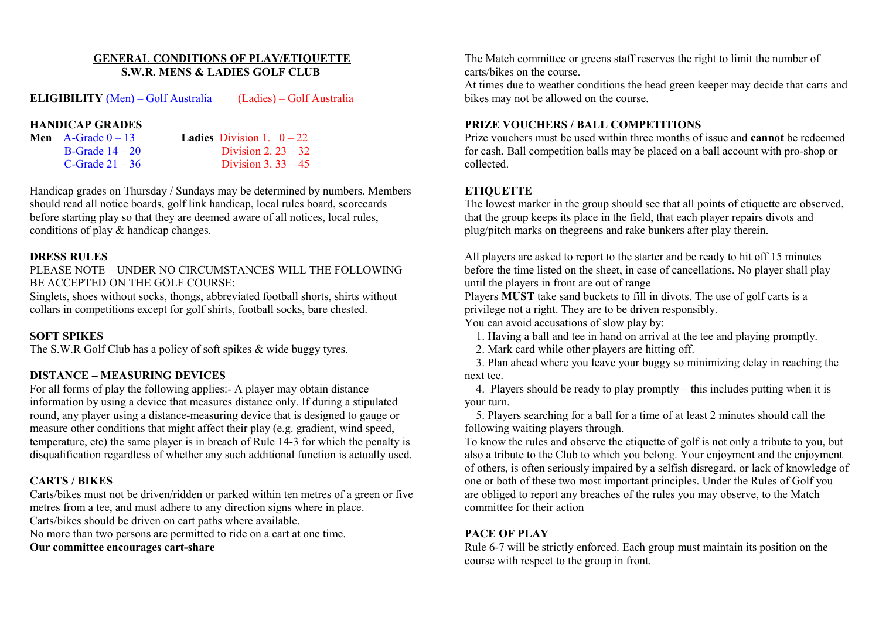#### **GENERAL CONDITIONS OF PLAY/ETIQUETTE S.W.R. MENS & LADIES GOLF CLUB**

#### **ELIGIBILITY** (Men) – Golf Australia (Ladies) – Golf Australia

#### **HANDICAP GRADES**

| Men $A$ -Grade $0-13$ | <b>Ladies</b> Division 1. $0-22$ |
|-----------------------|----------------------------------|
| B-Grade $14-20$       | Division 2. $23 - 32$            |
| C-Grade $21 - 36$     | Division 3. $33 - 45$            |

Handicap grades on Thursday / Sundays may be determined by numbers. Members should read all notice boards, golf link handicap, local rules board, scorecards before starting play so that they are deemed aware of all notices, local rules, conditions of play & handicap changes.

#### **DRESS RULES**

PLEASE NOTE – UNDER NO CIRCUMSTANCES WILL THE FOLLOWING BE ACCEPTED ON THE GOLF COURSE:

Singlets, shoes without socks, thongs, abbreviated football shorts, shirts without collars in competitions except for golf shirts, football socks, bare chested.

#### **SOFT SPIKES**

The S.W.R Golf Club has a policy of soft spikes & wide buggy tyres.

## **DISTANCE – MEASURING DEVICES**

For all forms of play the following applies:- A player may obtain distance information by using a device that measures distance only. If during a stipulated round, any player using a distance-measuring device that is designed to gauge or measure other conditions that might affect their play (e.g. gradient, wind speed, temperature, etc) the same player is in breach of Rule 14-3 for which the penalty is disqualification regardless of whether any such additional function is actually used.

### **CARTS / BIKES**

Carts/bikes must not be driven/ridden or parked within ten metres of a green or five metres from a tee, and must adhere to any direction signs where in place. Carts/bikes should be driven on cart paths where available.

No more than two persons are permitted to ride on a cart at one time.

**Our committee encourages cart-share**

The Match committee or greens staff reserves the right to limit the number of carts/bikes on the course.

At times due to weather conditions the head green keeper may decide that carts and bikes may not be allowed on the course.

### **PRIZE VOUCHERS / BALL COMPETITIONS**

Prize vouchers must be used within three months of issue and **cannot** be redeemed for cash. Ball competition balls may be placed on a ball account with pro-shop or collected.

## **ETIQUETTE**

The lowest marker in the group should see that all points of etiquette are observed, that the group keeps its place in the field, that each player repairs divots and plug/pitch marks on thegreens and rake bunkers after play therein.

All players are asked to report to the starter and be ready to hit off 15 minutes before the time listed on the sheet, in case of cancellations. No player shall play until the players in front are out of range

Players **MUST** take sand buckets to fill in divots. The use of golf carts is a privilege not a right. They are to be driven responsibly.

You can avoid accusations of slow play by:

- 1. Having a ball and tee in hand on arrival at the tee and playing promptly.
- 2. Mark card while other players are hitting off.

 3. Plan ahead where you leave your buggy so minimizing delay in reaching the next tee.

 4. Players should be ready to play promptly – this includes putting when it is your turn.

 5. Players searching for a ball for a time of at least 2 minutes should call the following waiting players through.

To know the rules and observe the etiquette of golf is not only a tribute to you, but also a tribute to the Club to which you belong. Your enjoyment and the enjoyment of others, is often seriously impaired by a selfish disregard, or lack of knowledge of one or both of these two most important principles. Under the Rules of Golf you are obliged to report any breaches of the rules you may observe, to the Match committee for their action

## **PACE OF PLAY**

Rule 6-7 will be strictly enforced. Each group must maintain its position on the course with respect to the group in front.